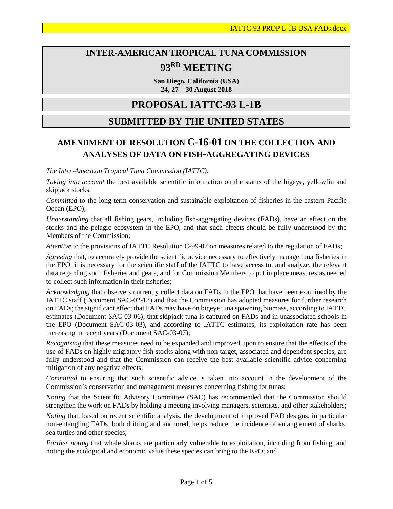# **INTER-AMERICAN TROPICAL TUNA COMMISSION 93RD MEETING**

**San Diego, California (USA) 24, 27 – 30 August 2018**

## **PROPOSAL IATTC-93 L-1B**

### **SUBMITTED BY THE UNITED STATES**

### **AMENDMENT OF RESOLUTION C-16-01 ON THE COLLECTION AND ANALYSES OF DATA ON FISH-AGGREGATING DEVICES**

*The Inter-American Tropical Tuna Commission (IATTC):*

*Taking into account* the best available scientific information on the status of the bigeye, yellowfin and skipjack stocks;

*Committed* to the long-term conservation and sustainable exploitation of fisheries in the eastern Pacific Ocean (EPO);

*Understanding* that all fishing gears, including fish-aggregating devices (FADs), have an effect on the stocks and the pelagic ecosystem in the EPO, and that such effects should be fully understood by the Members of the Commission;

*Attentive* to the provisions of IATTC Resolution C-99-07 on measures related to the regulation of FADs*;*

*Agreeing* that, to accurately provide the scientific advice necessary to effectively manage tuna fisheries in the EPO, it is necessary for the scientific staff of the IATTC to have access to, and analyze, the relevant data regarding such fisheries and gears, and for Commission Members to put in place measures as needed to collect such information in their fisheries;

*Acknowledging* that observers currently collect data on FADs in the EPO that have been examined by the IATTC staff (Document SAC-02-13) and that the Commission has adopted measures for further research on FADs; the significant effect that FADs may have on bigeye tuna spawning biomass, according to IATTC estimates (Document SAC-03-06); that skipjack tuna is captured on FADs and in unassociated schools in the EPO (Document SAC-03-03), and according to IATTC estimates, its exploitation rate has been increasing in recent years (Document SAC-03-07);

*Recognizing* that these measures need to be expanded and improved upon to ensure that the effects of the use of FADs on highly migratory fish stocks along with non-target, associated and dependent species, are fully understood and that the Commission can receive the best available scientific advice concerning mitigation of any negative effects;

*Committed* to ensuring that such scientific advice is taken into account in the development of the Commission's conservation and management measures concerning fishing for tunas;

*Noting* that the Scientific Advisory Committee (SAC) has recommended that the Commission should strengthen the work on FADs by holding a meeting involving managers, scientists, and other stakeholders;

*Noting* that, based on recent scientific analysis, the development of improved FAD designs, in particular non-entangling FADs, both drifting and anchored, helps reduce the incidence of entanglement of sharks, sea turtles and other species;

*Further noting* that whale sharks are particularly vulnerable to exploitation, including from fishing, and noting the ecological and economic value these species can bring to the EPO; and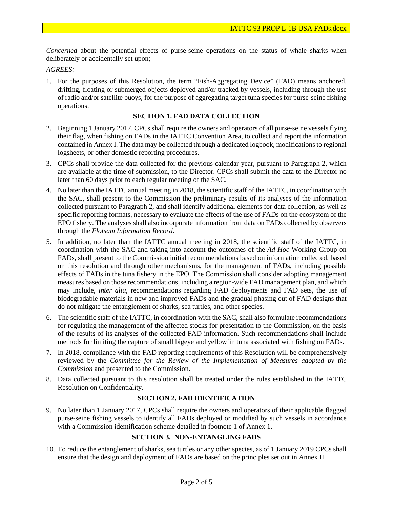*Concerned* about the potential effects of purse-seine operations on the status of whale sharks when deliberately or accidentally set upon;

#### *AGREES:*

1. For the purposes of this Resolution, the term "Fish-Aggregating Device" (FAD) means anchored, drifting, floating or submerged objects deployed and/or tracked by vessels, including through the use of radio and/or satellite buoys, for the purpose of aggregating target tuna species for purse-seine fishing operations.

#### **SECTION 1. FAD DATA COLLECTION**

- 2. Beginning 1 January 2017, CPCs shall require the owners and operators of all purse-seine vessels flying their flag, when fishing on FADs in the IATTC Convention Area, to collect and report the information contained in Annex I. The data may be collected through a dedicated logbook, modifications to regional logsheets, or other domestic reporting procedures.
- 3. CPCs shall provide the data collected for the previous calendar year, pursuant to Paragraph 2, which are available at the time of submission, to the Director. CPCs shall submit the data to the Director no later than 60 days prior to each regular meeting of the SAC.
- 4. No later than the IATTC annual meeting in 2018, the scientific staff of the IATTC, in coordination with the SAC, shall present to the Commission the preliminary results of its analyses of the information collected pursuant to Paragraph 2, and shall identify additional elements for data collection, as well as specific reporting formats, necessary to evaluate the effects of the use of FADs on the ecosystem of the EPO fishery. The analyses shall also incorporate information from data on FADs collected by observers through the *Flotsam Information Record*.
- 5. In addition, no later than the IATTC annual meeting in 2018, the scientific staff of the IATTC, in coordination with the SAC and taking into account the outcomes of the *Ad Hoc* Working Group on FADs, shall present to the Commission initial recommendations based on information collected, based on this resolution and through other mechanisms, for the management of FADs, including possible effects of FADs in the tuna fishery in the EPO. The Commission shall consider adopting management measures based on those recommendations, including a region-wide FAD management plan, and which may include, *inter alia*, recommendations regarding FAD deployments and FAD sets, the use of biodegradable materials in new and improved FADs and the gradual phasing out of FAD designs that do not mitigate the entanglement of sharks, sea turtles, and other species.
- 6. The scientific staff of the IATTC, in coordination with the SAC, shall also formulate recommendations for regulating the management of the affected stocks for presentation to the Commission, on the basis of the results of its analyses of the collected FAD information. Such recommendations shall include methods for limiting the capture of small bigeye and yellowfin tuna associated with fishing on FADs.
- 7. In 2018, compliance with the FAD reporting requirements of this Resolution will be comprehensively reviewed by the *Committee for the Review of the Implementation of Measures adopted by the Commission* and presented to the Commission.
- 8. Data collected pursuant to this resolution shall be treated under the rules established in the IATTC Resolution on Confidentiality.

#### **SECTION 2. FAD IDENTIFICATION**

9. No later than 1 January 2017, CPCs shall require the owners and operators of their applicable flagged purse-seine fishing vessels to identify all FADs deployed or modified by such vessels in accordance with a Commission identification scheme detailed in footnote 1 of Annex 1.

#### **SECTION 3. NON-ENTANGLING FADS**

10. To reduce the entanglement of sharks, sea turtles or any other species, as of 1 January 2019 CPCs shall ensure that the design and deployment of FADs are based on the principles set out in Annex II.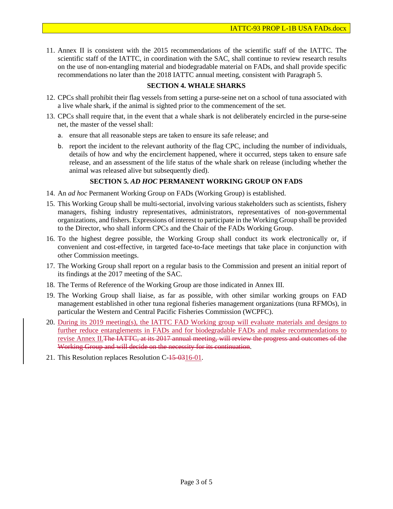11. Annex II is consistent with the 2015 recommendations of the scientific staff of the IATTC. The scientific staff of the IATTC, in coordination with the SAC, shall continue to review research results on the use of non-entangling material and biodegradable material on FADs, and shall provide specific recommendations no later than the 2018 IATTC annual meeting, consistent with Paragraph 5.

#### **SECTION 4. WHALE SHARKS**

- 12. CPCs shall prohibit their flag vessels from setting a purse-seine net on a school of tuna associated with a live whale shark, if the animal is sighted prior to the commencement of the set.
- 13. CPCs shall require that, in the event that a whale shark is not deliberately encircled in the purse-seine net, the master of the vessel shall:
	- a. ensure that all reasonable steps are taken to ensure its safe release; and
	- b. report the incident to the relevant authority of the flag CPC, including the number of individuals, details of how and why the encirclement happened, where it occurred, steps taken to ensure safe release, and an assessment of the life status of the whale shark on release (including whether the animal was released alive but subsequently died).

#### **SECTION 5.** *AD HOC* **PERMANENT WORKING GROUP ON FADS**

- 14. An *ad hoc* Permanent Working Group on FADs (Working Group) is established.
- 15. This Working Group shall be multi-sectorial, involving various stakeholders such as scientists, fishery managers, fishing industry representatives, administrators, representatives of non-governmental organizations, and fishers. Expressions of interest to participate in the Working Group shall be provided to the Director, who shall inform CPCs and the Chair of the FADs Working Group.
- 16. To the highest degree possible, the Working Group shall conduct its work electronically or, if convenient and cost-effective, in targeted face-to-face meetings that take place in conjunction with other Commission meetings.
- 17. The Working Group shall report on a regular basis to the Commission and present an initial report of its findings at the 2017 meeting of the SAC.
- 18. The Terms of Reference of the Working Group are those indicated in Annex III.
- 19. The Working Group shall liaise, as far as possible, with other similar working groups on FAD management established in other tuna regional fisheries management organizations (tuna RFMOs), in particular the Western and Central Pacific Fisheries Commission (WCPFC).
- 20. During its 2019 meeting(s), the IATTC FAD Working group will evaluate materials and designs to further reduce entanglements in FADs and for biodegradable FADs and make recommendations to revise Annex II. The IATTC, at its 2017 annual meeting, will review the progress and outcomes of the Working Group and will decide on the necessity for its continuation.
- 21. This Resolution replaces Resolution C-15-0316-01.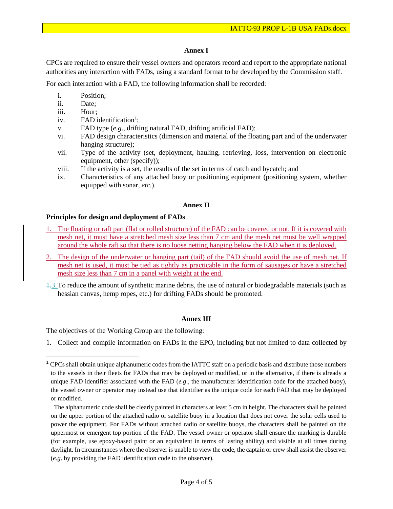#### **Annex I**

CPCs are required to ensure their vessel owners and operators record and report to the appropriate national authorities any interaction with FADs, using a standard format to be developed by the Commission staff.

For each interaction with a FAD, the following information shall be recorded:

- i. Position;
- ii. Date;
- iii. Hour;
- iv.  $FAD$  identification<sup>[1](#page-3-0)</sup>;
- v. FAD type (*e.g*., drifting natural FAD, drifting artificial FAD);
- vi. FAD design characteristics (dimension and material of the floating part and of the underwater hanging structure);
- vii. Type of the activity (set, deployment, hauling, retrieving, loss, intervention on electronic equipment, other (specify));
- viii. If the activity is a set, the results of the set in terms of catch and bycatch; and
- ix. Characteristics of any attached buoy or positioning equipment (positioning system, whether equipped with sonar, *etc*.).

#### **Annex II**

#### **Principles for design and deployment of FADs**

- 1. The floating or raft part (flat or rolled structure) of the FAD can be covered or not. If it is covered with mesh net, it must have a stretched mesh size less than 7 cm and the mesh net must be well wrapped around the whole raft so that there is no loose netting hanging below the FAD when it is deployed.
- The design of the underwater or hanging part (tail) of the FAD should avoid the use of mesh net. If mesh net is used, it must be tied as tightly as practicable in the form of sausages or have a stretched mesh size less than 7 cm in a panel with weight at the end.
- $\pm$ 3. To reduce the amount of synthetic marine debris, the use of natural or biodegradable materials (such as hessian canvas, hemp ropes, etc.) for drifting FADs should be promoted.

#### **Annex III**

The objectives of the Working Group are the following:

1. Collect and compile information on FADs in the EPO, including but not limited to data collected by

<span id="page-3-0"></span> $1$  CPCs shall obtain unique alphanumeric codes from the IATTC staff on a periodic basis and distribute those numbers to the vessels in their fleets for FADs that may be deployed or modified, or in the alternative, if there is already a unique FAD identifier associated with the FAD (*e.g*., the manufacturer identification code for the attached buoy), the vessel owner or operator may instead use that identifier as the unique code for each FAD that may be deployed or modified.

The alphanumeric code shall be clearly painted in characters at least 5 cm in height. The characters shall be painted on the upper portion of the attached radio or satellite buoy in a location that does not cover the solar cells used to power the equipment. For FADs without attached radio or satellite buoys, the characters shall be painted on the uppermost or emergent top portion of the FAD. The vessel owner or operator shall ensure the marking is durable (for example, use epoxy-based paint or an equivalent in terms of lasting ability) and visible at all times during daylight. In circumstances where the observer is unable to view the code, the captain or crew shall assist the observer (*e.g*. by providing the FAD identification code to the observer).